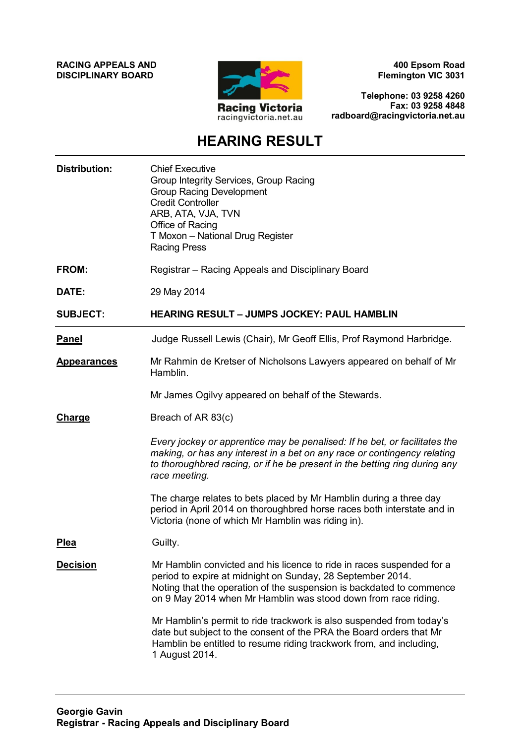**RACING APPEALS AND DISCIPLINARY BOARD**



**400 Epsom Road Flemington VIC 3031**

**Telephone: 03 9258 4260 Fax: 03 9258 4848 radboard@racingvictoria.net.au**

## **HEARING RESULT**

| <b>Distribution:</b> | <b>Chief Executive</b><br>Group Integrity Services, Group Racing<br><b>Group Racing Development</b><br><b>Credit Controller</b><br>ARB, ATA, VJA, TVN<br>Office of Racing<br>T Moxon - National Drug Register<br><b>Racing Press</b>                                          |
|----------------------|-------------------------------------------------------------------------------------------------------------------------------------------------------------------------------------------------------------------------------------------------------------------------------|
| <b>FROM:</b>         | Registrar - Racing Appeals and Disciplinary Board                                                                                                                                                                                                                             |
| DATE:                | 29 May 2014                                                                                                                                                                                                                                                                   |
| <b>SUBJECT:</b>      | <b>HEARING RESULT - JUMPS JOCKEY: PAUL HAMBLIN</b>                                                                                                                                                                                                                            |
| <b>Panel</b>         | Judge Russell Lewis (Chair), Mr Geoff Ellis, Prof Raymond Harbridge.                                                                                                                                                                                                          |
| <b>Appearances</b>   | Mr Rahmin de Kretser of Nicholsons Lawyers appeared on behalf of Mr<br>Hamblin.                                                                                                                                                                                               |
|                      | Mr James Ogilvy appeared on behalf of the Stewards.                                                                                                                                                                                                                           |
| Charge               | Breach of AR 83(c)                                                                                                                                                                                                                                                            |
|                      | Every jockey or apprentice may be penalised: If he bet, or facilitates the<br>making, or has any interest in a bet on any race or contingency relating<br>to thoroughbred racing, or if he be present in the betting ring during any<br>race meeting.                         |
|                      | The charge relates to bets placed by Mr Hamblin during a three day<br>period in April 2014 on thoroughbred horse races both interstate and in<br>Victoria (none of which Mr Hamblin was riding in).                                                                           |
| <b>Plea</b>          | Guilty.                                                                                                                                                                                                                                                                       |
| <b>Decision</b>      | Mr Hamblin convicted and his licence to ride in races suspended for a<br>period to expire at midnight on Sunday, 28 September 2014.<br>Noting that the operation of the suspension is backdated to commence<br>on 9 May 2014 when Mr Hamblin was stood down from race riding. |
|                      | Mr Hamblin's permit to ride trackwork is also suspended from today's<br>date but subject to the consent of the PRA the Board orders that Mr<br>Hamblin be entitled to resume riding trackwork from, and including,<br>1 August 2014.                                          |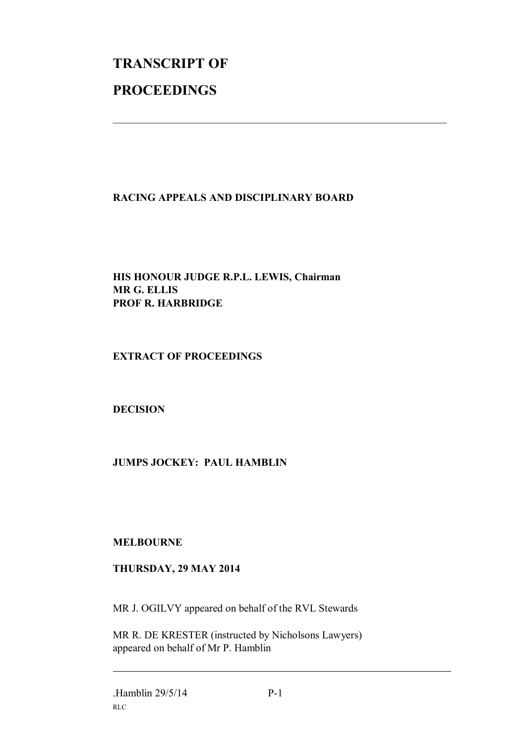# **TRANSCRIPT OF PROCEEDINGS**

### **RACING APPEALS AND DISCIPLINARY BOARD**

 $\mathcal{L}_\text{max}$  , and the contribution of the contribution of the contribution of the contribution of the contribution of the contribution of the contribution of the contribution of the contribution of the contribution of t

#### **HIS HONOUR JUDGE R.P.L. LEWIS, Chairman MR G. ELLIS PROF R. HARBRIDGE**

#### **EXTRACT OF PROCEEDINGS**

#### **DECISION**

#### **JUMPS JOCKEY: PAUL HAMBLIN**

#### **MELBOURNE**

#### **THURSDAY, 29 MAY 2014**

MR J. OGILVY appeared on behalf of the RVL Stewards

MR R. DE KRESTER (instructed by Nicholsons Lawyers) appeared on behalf of Mr P. Hamblin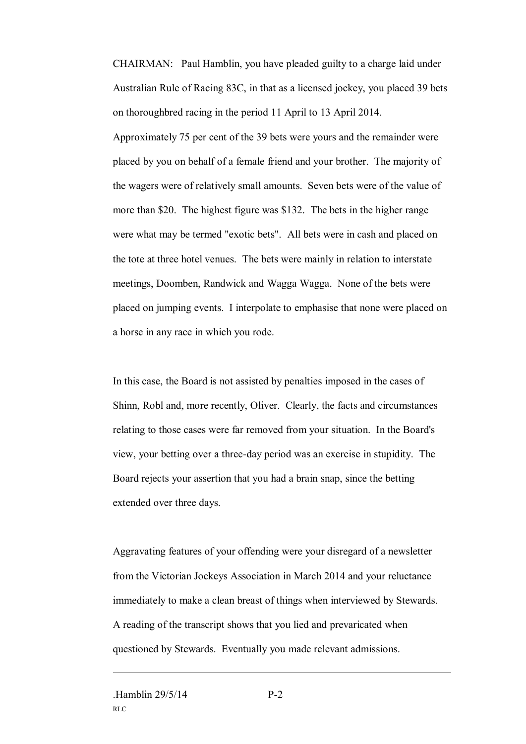CHAIRMAN: Paul Hamblin, you have pleaded guilty to a charge laid under Australian Rule of Racing 83C, in that as a licensed jockey, you placed 39 bets on thoroughbred racing in the period 11 April to 13 April 2014. Approximately 75 per cent of the 39 bets were yours and the remainder were placed by you on behalf of a female friend and your brother. The majority of the wagers were of relatively small amounts. Seven bets were of the value of more than \$20. The highest figure was \$132. The bets in the higher range were what may be termed "exotic bets". All bets were in cash and placed on the tote at three hotel venues. The bets were mainly in relation to interstate meetings, Doomben, Randwick and Wagga Wagga. None of the bets were placed on jumping events. I interpolate to emphasise that none were placed on a horse in any race in which you rode.

In this case, the Board is not assisted by penalties imposed in the cases of Shinn, Robl and, more recently, Oliver. Clearly, the facts and circumstances relating to those cases were far removed from your situation. In the Board's view, your betting over a three-day period was an exercise in stupidity. The Board rejects your assertion that you had a brain snap, since the betting extended over three days.

Aggravating features of your offending were your disregard of a newsletter from the Victorian Jockeys Association in March 2014 and your reluctance immediately to make a clean breast of things when interviewed by Stewards. A reading of the transcript shows that you lied and prevaricated when questioned by Stewards. Eventually you made relevant admissions.